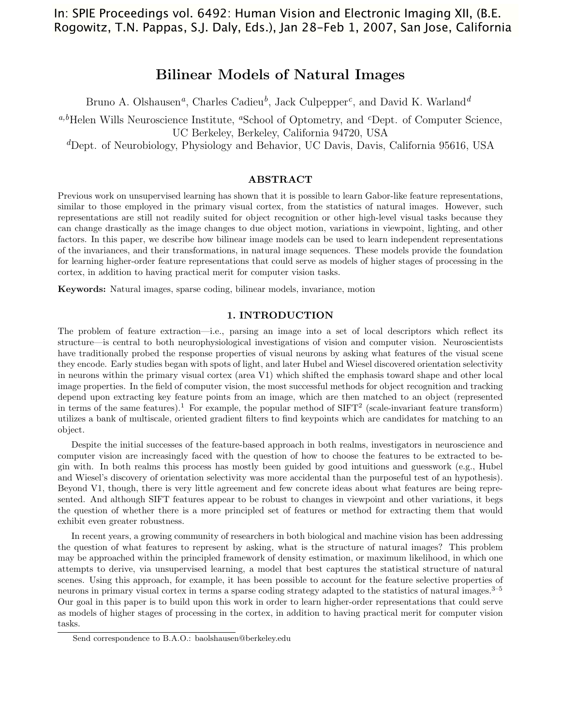# In: SPIE Proceedings vol. 6492: Human Vision and Electronic Imaging XII, (B.E. Rogowitz, T.N. Pappas, S.J. Daly, Eds.), Jan 28-Feb 1, 2007, San Jose, California

# Bilinear Models of Natural Images

Bruno A. Olshausen*a*, Charles Cadieu*b*, Jack Culpepper*c*, and David K. Warland*<sup>d</sup>*

*a,b*Helen Wills Neuroscience Institute, *<sup>a</sup>*School of Optometry, and *<sup>c</sup>*Dept. of Computer Science, UC Berkeley, Berkeley, California 94720, USA

*<sup>d</sup>*Dept. of Neurobiology, Physiology and Behavior, UC Davis, Davis, California 95616, USA

## ABSTRACT

Previous work on unsupervised learning has shown that it is possible to learn Gabor-like feature representations, similar to those employed in the primary visual cortex, from the statistics of natural images. However, such representations are still not readily suited for object recognition or other high-level visual tasks because they can change drastically as the image changes to due object motion, variations in viewpoint, lighting, and other factors. In this paper, we describe how bilinear image models can be used to learn independent representations of the invariances, and their transformations, in natural image sequences. These models provide the foundation for learning higher-order feature representations that could serve as models of higher stages of processing in the cortex, in addition to having practical merit for computer vision tasks.

Keywords: Natural images, sparse coding, bilinear models, invariance, motion

### 1. INTRODUCTION

The problem of feature extraction—i.e., parsing an image into a set of local descriptors which reflect its structure—is central to both neurophysiological investigations of vision and computer vision. Neuroscientists have traditionally probed the response properties of visual neurons by asking what features of the visual scene they encode. Early studies began with spots of light, and later Hubel and Wiesel discovered orientation selectivity in neurons within the primary visual cortex (area V1) which shifted the emphasis toward shape and other local image properties. In the field of computer vision, the most successful methods for object recognition and tracking depend upon extracting key feature points from an image, which are then matched to an object (represented in terms of the same features).<sup>1</sup> For example, the popular method of  $SIFT^2$  (scale-invariant feature transform) utilizes a bank of multiscale, oriented gradient filters to find keypoints which are candidates for matching to an object.

Despite the initial successes of the feature-based approach in both realms, investigators in neuroscience and computer vision are increasingly faced with the question of how to choose the features to be extracted to begin with. In both realms this process has mostly been guided by good intuitions and guesswork (e.g., Hubel and Wiesel's discovery of orientation selectivity was more accidental than the purposeful test of an hypothesis). Beyond V1, though, there is very little agreement and few concrete ideas about what features are being represented. And although SIFT features appear to be robust to changes in viewpoint and other variations, it begs the question of whether there is a more principled set of features or method for extracting them that would exhibit even greater robustness.

In recent years, a growing community of researchers in both biological and machine vision has been addressing the question of what features to represent by asking, what is the structure of natural images? This problem may be approached within the principled framework of density estimation, or maximum likelihood, in which one attempts to derive, via unsupervised learning, a model that best captures the statistical structure of natural scenes. Using this approach, for example, it has been possible to account for the feature selective properties of neurons in primary visual cortex in terms a sparse coding strategy adapted to the statistics of natural images.<sup>3–5</sup> Our goal in this paper is to build upon this work in order to learn higher-order representations that could serve as models of higher stages of processing in the cortex, in addition to having practical merit for computer vision tasks.

Send correspondence to B.A.O.: baolshausen@berkeley.edu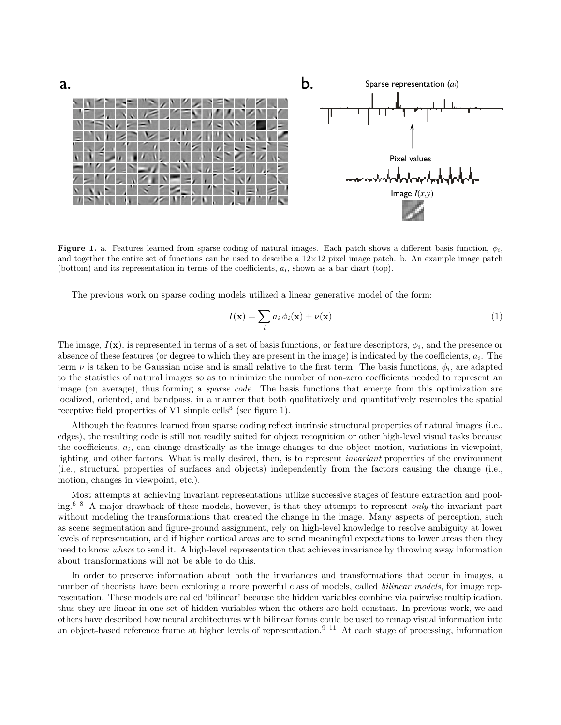

Figure 1. a. Features learned from sparse coding of natural images. Each patch shows a different basis function,  $\phi_i$ , and together the entire set of functions can be used to describe a  $12\times12$  pixel image patch. b. An example image patch (bottom) and its representation in terms of the coefficients,  $a_i$ , shown as a bar chart (top).

The previous work on sparse coding models utilized a linear generative model of the form:

$$
I(\mathbf{x}) = \sum_{i} a_i \phi_i(\mathbf{x}) + \nu(\mathbf{x})
$$
\n(1)

The image,  $I(\mathbf{x})$ , is represented in terms of a set of basis functions, or feature descriptors,  $\phi_i$ , and the presence or absence of these features (or degree to which they are present in the image) is indicated by the coefficients,  $a_i$ . The term  $\nu$  is taken to be Gaussian noise and is small relative to the first term. The basis functions,  $\phi_i$ , are adapted to the statistics of natural images so as to minimize the number of non-zero coefficients needed to represent an image (on average), thus forming a *sparse code*. The basis functions that emerge from this optimization are localized, oriented, and bandpass, in a manner that both qualitatively and quantitatively resembles the spatial receptive field properties of V1 simple cells<sup>3</sup> (see figure 1).

Although the features learned from sparse coding reflect intrinsic structural properties of natural images (i.e., edges), the resulting code is still not readily suited for object recognition or other high-level visual tasks because the coefficients,  $a_i$ , can change drastically as the image changes to due object motion, variations in viewpoint, lighting, and other factors. What is really desired, then, is to represent *invariant* properties of the environment (i.e., structural properties of surfaces and objects) independently from the factors causing the change (i.e., motion, changes in viewpoint, etc.).

Most attempts at achieving invariant representations utilize successive stages of feature extraction and pooling.6–8 A major drawback of these models, however, is that they attempt to represent *only* the invariant part without modeling the transformations that created the change in the image. Many aspects of perception, such as scene segmentation and figure-ground assignment, rely on high-level knowledge to resolve ambiguity at lower levels of representation, and if higher cortical areas are to send meaningful expectations to lower areas then they need to know *where* to send it. A high-level representation that achieves invariance by throwing away information about transformations will not be able to do this.

In order to preserve information about both the invariances and transformations that occur in images, a number of theorists have been exploring a more powerful class of models, called *bilinear models*, for image representation. These models are called 'bilinear' because the hidden variables combine via pairwise multiplication, thus they are linear in one set of hidden variables when the others are held constant. In previous work, we and others have described how neural architectures with bilinear forms could be used to remap visual information into an object-based reference frame at higher levels of representation.<sup>9–11</sup> At each stage of processing, information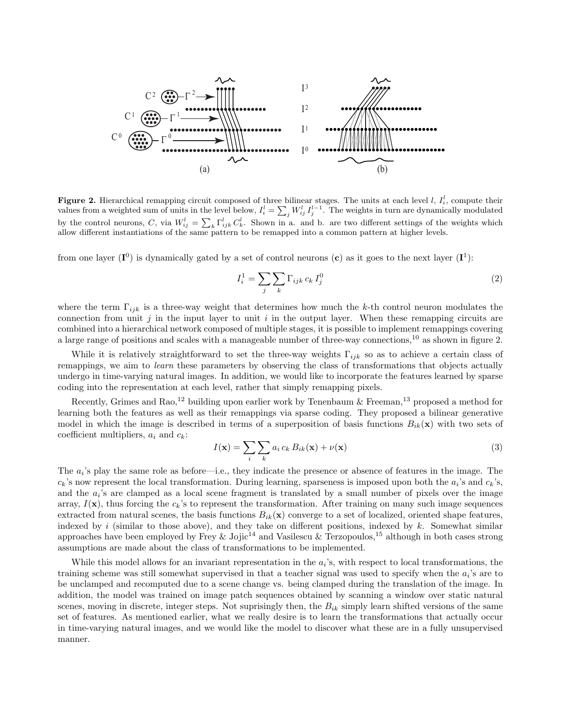

**Figure 2.** Hierarchical remapping circuit composed of three bilinear stages. The units at each level  $l, I<sub>i</sub><sup>l</sup>$ , compute their values from a weighted sum of units in the level below,  $I_i^l = \sum_j W_{ij}^l I_j^{l-1}$ . The weights in turn are dynamically modulated by the control neurons, C, via  $W_{ij}^l = \sum_k \Gamma_{ijk}^l C_k^l$ . Shown in a. and b. are two different settings of the weights which allow different instantiations of the same pattern to be remapped into a common pattern at higher levels.

from one layer  $(I^0)$  is dynamically gated by a set of control neurons (c) as it goes to the next layer  $(I^1)$ :

$$
I_i^1 = \sum_j \sum_k \Gamma_{ijk} c_k I_j^0 \tag{2}
$$

where the term  $\Gamma_{ijk}$  is a three-way weight that determines how much the k-th control neuron modulates the connection from unit  $j$  in the input layer to unit  $i$  in the output layer. When these remapping circuits are combined into a hierarchical network composed of multiple stages, it is possible to implement remappings covering a large range of positions and scales with a manageable number of three-way connections,<sup>10</sup> as shown in figure 2.

While it is relatively straightforward to set the three-way weights  $\Gamma_{ijk}$  so as to achieve a certain class of remappings, we aim to *learn* these parameters by observing the class of transformations that objects actually undergo in time-varying natural images. In addition, we would like to incorporate the features learned by sparse coding into the representation at each level, rather that simply remapping pixels.

Recently, Grimes and Rao,<sup>12</sup> building upon earlier work by Tenenbaum & Freeman,<sup>13</sup> proposed a method for learning both the features as well as their remappings via sparse coding. They proposed a bilinear generative model in which the image is described in terms of a superposition of basis functions  $B_{ik}(\mathbf{x})$  with two sets of coefficient multipliers,  $a_i$  and  $c_k$ :

$$
I(\mathbf{x}) = \sum_{i} \sum_{k} a_i c_k B_{ik}(\mathbf{x}) + \nu(\mathbf{x})
$$
\n(3)

The  $a_i$ 's play the same role as before—i.e., they indicate the presence or absence of features in the image. The  $c_k$ 's now represent the local transformation. During learning, sparseness is imposed upon both the  $a_i$ 's and  $c_k$ 's, and the  $a_i$ 's are clamped as a local scene fragment is translated by a small number of pixels over the image array,  $I(\mathbf{x})$ , thus forcing the  $c_k$ 's to represent the transformation. After training on many such image sequences extracted from natural scenes, the basis functions  $B_{ik}(\mathbf{x})$  converge to a set of localized, oriented shape features, indexed by i (similar to those above), and they take on different positions, indexed by k. Somewhat similar approaches have been employed by Frey  $\&$  Jojic<sup>14</sup> and Vasilescu  $\&$  Terzopoulos,<sup>15</sup> although in both cases strong assumptions are made about the class of transformations to be implemented.

While this model allows for an invariant representation in the  $a_i$ 's, with respect to local transformations, the training scheme was still somewhat supervised in that a teacher signal was used to specify when the  $a_i$ 's are to be unclamped and recomputed due to a scene change vs. being clamped during the translation of the image. In addition, the model was trained on image patch sequences obtained by scanning a window over static natural scenes, moving in discrete, integer steps. Not suprisingly then, the  $B_{ik}$  simply learn shifted versions of the same set of features. As mentioned earlier, what we really desire is to learn the transformations that actually occur in time-varying natural images, and we would like the model to discover what these are in a fully unsupervised manner.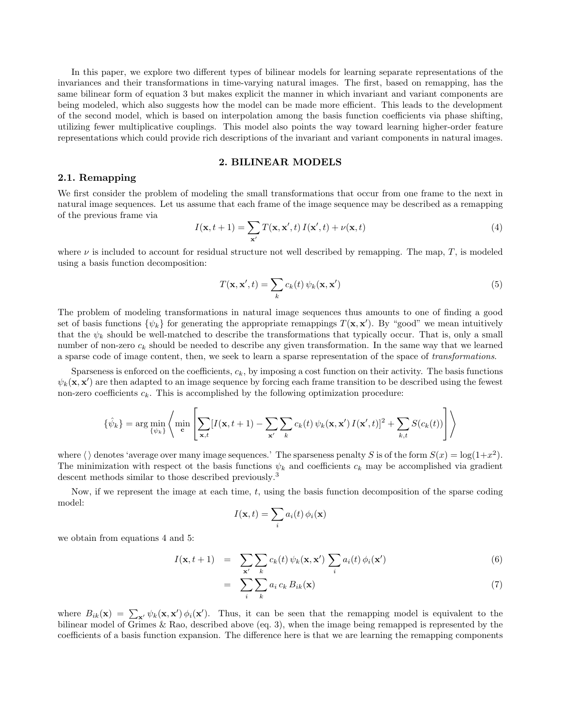In this paper, we explore two different types of bilinear models for learning separate representations of the invariances and their transformations in time-varying natural images. The first, based on remapping, has the same bilinear form of equation 3 but makes explicit the manner in which invariant and variant components are being modeled, which also suggests how the model can be made more efficient. This leads to the development of the second model, which is based on interpolation among the basis function coefficients via phase shifting, utilizing fewer multiplicative couplings. This model also points the way toward learning higher-order feature representations which could provide rich descriptions of the invariant and variant components in natural images.

### 2. BILINEAR MODELS

## 2.1. Remapping

We first consider the problem of modeling the small transformations that occur from one frame to the next in natural image sequences. Let us assume that each frame of the image sequence may be described as a remapping of the previous frame via

$$
I(\mathbf{x}, t+1) = \sum_{\mathbf{x}'} T(\mathbf{x}, \mathbf{x}', t) I(\mathbf{x}', t) + \nu(\mathbf{x}, t)
$$
\n(4)

where  $\nu$  is included to account for residual structure not well described by remapping. The map, T, is modeled using a basis function decomposition:

$$
T(\mathbf{x}, \mathbf{x}', t) = \sum_{k} c_k(t) \psi_k(\mathbf{x}, \mathbf{x}') \tag{5}
$$

The problem of modeling transformations in natural image sequences thus amounts to one of finding a good set of basis functions  $\{\psi_k\}$  for generating the appropriate remappings  $T(\mathbf{x}, \mathbf{x}')$ . By "good" we mean intuitively that the  $\psi_k$  should be well-matched to describe the transformations that typically occur. That is, only a small number of non-zero  $c_k$  should be needed to describe any given transformation. In the same way that we learned a sparse code of image content, then, we seek to learn a sparse representation of the space of *transformations*.

Sparseness is enforced on the coefficients,  $c_k$ , by imposing a cost function on their activity. The basis functions  $\psi_k(\mathbf{x}, \mathbf{x}')$  are then adapted to an image sequence by forcing each frame transition to be described using the fewest non-zero coefficients  $c_k$ . This is accomplished by the following optimization procedure:

$$
\{\hat{\psi}_k\} = \arg\min_{\{\psi_k\}} \left\langle \min_{\mathbf{c}} \left[ \sum_{\mathbf{x},t} [I(\mathbf{x}, t+1) - \sum_{\mathbf{x}'} \sum_k c_k(t) \psi_k(\mathbf{x}, \mathbf{x}') I(\mathbf{x}', t)]^2 + \sum_{k,t} S(c_k(t)) \right] \right\rangle
$$

where  $\langle \rangle$  denotes 'average over many image sequences.' The sparseness penalty S is of the form  $S(x) = \log(1+x^2)$ . The minimization with respect ot the basis functions  $\psi_k$  and coefficients  $c_k$  may be accomplished via gradient descent methods similar to those described previously.<sup>3</sup>

Now, if we represent the image at each time,  $t$ , using the basis function decomposition of the sparse coding model:

$$
I(\mathbf{x},t) = \sum_i a_i(t) \phi_i(\mathbf{x})
$$

we obtain from equations 4 and 5:

$$
I(\mathbf{x}, t+1) = \sum_{\mathbf{x}'} \sum_{k} c_k(t) \psi_k(\mathbf{x}, \mathbf{x}') \sum_{i} a_i(t) \phi_i(\mathbf{x}')
$$
(6)

$$
= \sum_{i} \sum_{k} a_i c_k B_{ik}(\mathbf{x}) \tag{7}
$$

where  $B_{ik}(\mathbf{x}) = \sum_{\mathbf{x}'} \psi_k(\mathbf{x}, \mathbf{x}') \phi_i(\mathbf{x}')$ . Thus, it can be seen that the remapping model is equivalent to the bilinear model of Grimes & Rao, described above (eq. 3), when the image being remapped is represented by the coefficients of a basis function expansion. The difference here is that we are learning the remapping components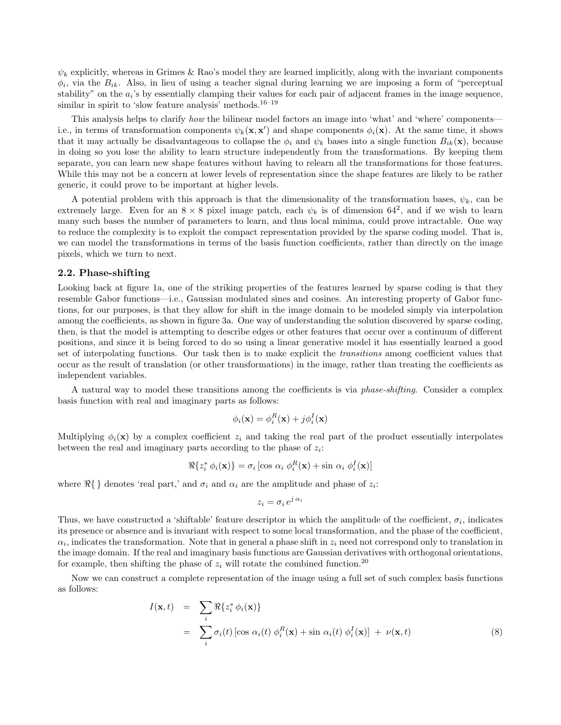$\psi_k$  explicitly, whereas in Grimes & Rao's model they are learned implicitly, along with the invariant components  $\phi_i$ , via the  $B_{ik}$ . Also, in lieu of using a teacher signal during learning we are imposing a form of "perceptual" stability" on the  $a_i$ 's by essentially clamping their values for each pair of adjacent frames in the image sequence, similar in spirit to 'slow feature analysis' methods.<sup>16–19</sup>

This analysis helps to clarify *how* the bilinear model factors an image into 'what' and 'where' components i.e., in terms of transformation components  $\psi_k(\mathbf{x}, \mathbf{x}')$  and shape components  $\phi_i(\mathbf{x})$ . At the same time, it shows that it may actually be disadvantageous to collapse the  $\phi_i$  and  $\psi_k$  bases into a single function  $B_{ik}(\mathbf{x})$ , because in doing so you lose the ability to learn structure independently from the transformations. By keeping them separate, you can learn new shape features without having to relearn all the transformations for those features. While this may not be a concern at lower levels of representation since the shape features are likely to be rather generic, it could prove to be important at higher levels.

A potential problem with this approach is that the dimensionality of the transformation bases,  $\psi_k$ , can be extremely large. Even for an  $8 \times 8$  pixel image patch, each  $\psi_k$  is of dimension 64<sup>2</sup>, and if we wish to learn many such bases the number of parameters to learn, and thus local minima, could prove intractable. One way to reduce the complexity is to exploit the compact representation provided by the sparse coding model. That is, we can model the transformations in terms of the basis function coefficients, rather than directly on the image pixels, which we turn to next.

### 2.2. Phase-shifting

Looking back at figure 1a, one of the striking properties of the features learned by sparse coding is that they resemble Gabor functions—i.e., Gaussian modulated sines and cosines. An interesting property of Gabor functions, for our purposes, is that they allow for shift in the image domain to be modeled simply via interpolation among the coefficients, as shown in figure 3a. One way of understanding the solution discovered by sparse coding, then, is that the model is attempting to describe edges or other features that occur over a continuum of different positions, and since it is being forced to do so using a linear generative model it has essentially learned a good set of interpolating functions. Our task then is to make explicit the *transitions* among coefficient values that occur as the result of translation (or other transformations) in the image, rather than treating the coefficients as independent variables.

A natural way to model these transitions among the coefficients is via *phase-shifting*. Consider a complex basis function with real and imaginary parts as follows:

$$
\phi_i(\mathbf{x}) = \phi_i^R(\mathbf{x}) + j\phi_i^I(\mathbf{x})
$$

Multiplying  $\phi_i(\mathbf{x})$  by a complex coefficient  $z_i$  and taking the real part of the product essentially interpolates between the real and imaginary parts according to the phase of  $z_i$ :

$$
\Re\{z_i^*\,\phi_i(\mathbf{x})\} = \sigma_i\left[\cos\,\alpha_i\,\phi_i^R(\mathbf{x}) + \sin\,\alpha_i\,\phi_i^I(\mathbf{x})\right]
$$

where  $\Re\{\}\$  denotes 'real part,' and  $\sigma_i$  and  $\alpha_i$  are the amplitude and phase of  $z_i$ :

$$
z_i = \sigma_i e^{j \alpha_i}
$$

Thus, we have constructed a 'shiftable' feature descriptor in which the amplitude of the coefficient,  $\sigma_i$ , indicates its presence or absence and is invariant with respect to some local transformation, and the phase of the coefficient,  $\alpha_i$ , indicates the transformation. Note that in general a phase shift in  $z_i$  need not correspond only to translation in the image domain. If the real and imaginary basis functions are Gaussian derivatives with orthogonal orientations, for example, then shifting the phase of  $z_i$  will rotate the combined function.<sup>20</sup>

Now we can construct a complete representation of the image using a full set of such complex basis functions as follows:

$$
I(\mathbf{x},t) = \sum_{i} \Re\{z_i^* \phi_i(\mathbf{x})\}
$$
  
= 
$$
\sum_{i} \sigma_i(t) [\cos \alpha_i(t) \phi_i^R(\mathbf{x}) + \sin \alpha_i(t) \phi_i^I(\mathbf{x})] + \nu(\mathbf{x},t)
$$
 (8)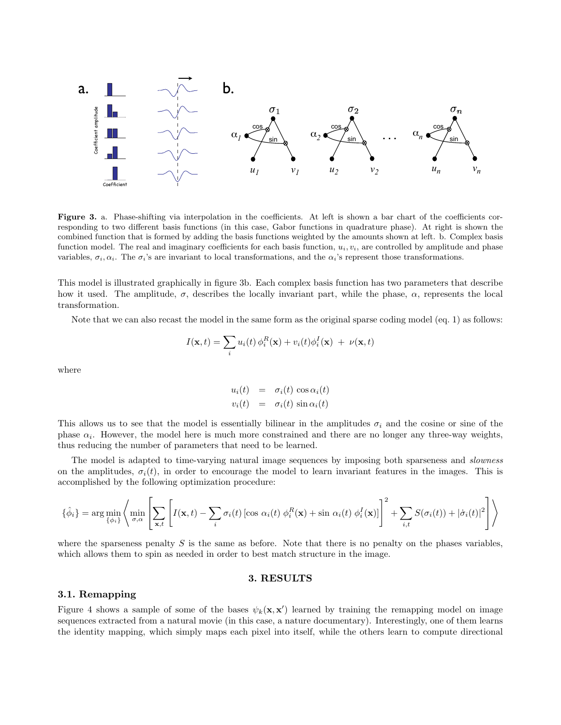

Figure 3. a. Phase-shifting via interpolation in the coefficients. At left is shown a bar chart of the coefficients corresponding to two different basis functions (in this case, Gabor functions in quadrature phase). At right is shown the combined function that is formed by adding the basis functions weighted by the amounts shown at left. b. Complex basis function model. The real and imaginary coefficients for each basis function,  $u_i, v_i$ , are controlled by amplitude and phase variables,  $\sigma_i$ ,  $\alpha_i$ . The  $\sigma_i$ 's are invariant to local transformations, and the  $\alpha_i$ 's represent those transformations.

This model is illustrated graphically in figure 3b. Each complex basis function has two parameters that describe how it used. The amplitude,  $\sigma$ , describes the locally invariant part, while the phase,  $\alpha$ , represents the local transformation.

Note that we can also recast the model in the same form as the original sparse coding model (eq. 1) as follows:

$$
I(\mathbf{x},t) = \sum_{i} u_i(t) \phi_i^R(\mathbf{x}) + v_i(t) \phi_i^I(\mathbf{x}) + \nu(\mathbf{x},t)
$$

where

$$
u_i(t) = \sigma_i(t) \cos \alpha_i(t)
$$
  

$$
v_i(t) = \sigma_i(t) \sin \alpha_i(t)
$$

This allows us to see that the model is essentially bilinear in the amplitudes  $\sigma_i$  and the cosine or sine of the phase  $\alpha_i$ . However, the model here is much more constrained and there are no longer any three-way weights, thus reducing the number of parameters that need to be learned.

The model is adapted to time-varying natural image sequences by imposing both sparseness and *slowness* on the amplitudes,  $\sigma_i(t)$ , in order to encourage the model to learn invariant features in the images. This is accomplished by the following optimization procedure:

$$
\{\hat{\phi}_i\} = \arg\min_{\{\phi_i\}} \left\langle \min_{\sigma,\alpha} \left[ \sum_{\mathbf{x},t} \left[ I(\mathbf{x},t) - \sum_i \sigma_i(t) \left[ \cos \alpha_i(t) \ \phi_i^R(\mathbf{x}) + \sin \alpha_i(t) \ \phi_i^I(\mathbf{x}) \right] \right]^2 + \sum_{i,t} S(\sigma_i(t)) + |\dot{\sigma}_i(t)|^2 \right] \right\rangle
$$

where the sparseness penalty  $S$  is the same as before. Note that there is no penalty on the phases variables, which allows them to spin as needed in order to best match structure in the image.

# 3. RESULTS

### 3.1. Remapping

Figure 4 shows a sample of some of the bases  $\psi_k(\mathbf{x}, \mathbf{x}')$  learned by training the remapping model on image sequences extracted from a natural movie (in this case, a nature documentary). Interestingly, one of them learns the identity mapping, which simply maps each pixel into itself, while the others learn to compute directional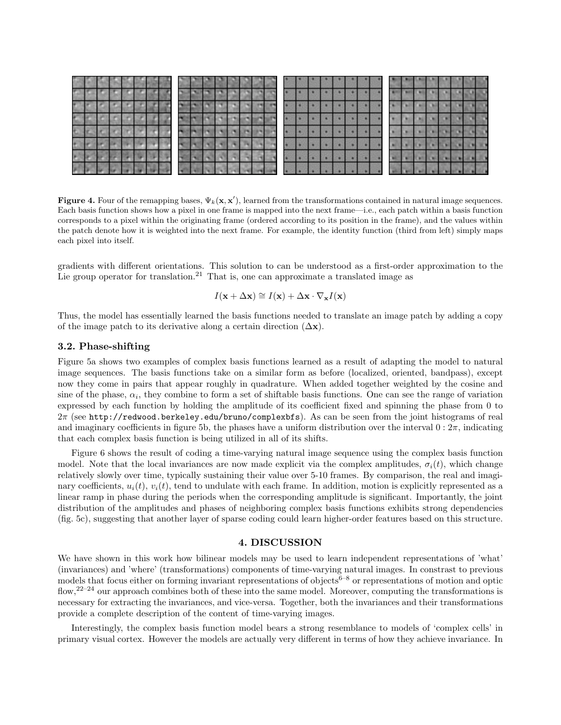| ۳ |  |  |  |  |  |  |  |  |  |  |  |  |  |  |  |  |
|---|--|--|--|--|--|--|--|--|--|--|--|--|--|--|--|--|
| × |  |  |  |  |  |  |  |  |  |  |  |  |  |  |  |  |
|   |  |  |  |  |  |  |  |  |  |  |  |  |  |  |  |  |
|   |  |  |  |  |  |  |  |  |  |  |  |  |  |  |  |  |
|   |  |  |  |  |  |  |  |  |  |  |  |  |  |  |  |  |
| e |  |  |  |  |  |  |  |  |  |  |  |  |  |  |  |  |
|   |  |  |  |  |  |  |  |  |  |  |  |  |  |  |  |  |

**Figure 4.** Four of the remapping bases,  $\Psi_k(x, x')$ , learned from the transformations contained in natural image sequences. Each basis function shows how a pixel in one frame is mapped into the next frame—i.e., each patch within a basis function corresponds to a pixel within the originating frame (ordered according to its position in the frame), and the values within the patch denote how it is weighted into the next frame. For example, the identity function (third from left) simply maps each pixel into itself.

gradients with different orientations. This solution to can be understood as a first-order approximation to the Lie group operator for translation.<sup>21</sup> That is, one can approximate a translated image as

$$
I(\mathbf{x} + \Delta \mathbf{x}) \cong I(\mathbf{x}) + \Delta \mathbf{x} \cdot \nabla_{\mathbf{x}} I(\mathbf{x})
$$

Thus, the model has essentially learned the basis functions needed to translate an image patch by adding a copy of the image patch to its derivative along a certain direction  $(\Delta x)$ .

### 3.2. Phase-shifting

Figure 5a shows two examples of complex basis functions learned as a result of adapting the model to natural image sequences. The basis functions take on a similar form as before (localized, oriented, bandpass), except now they come in pairs that appear roughly in quadrature. When added together weighted by the cosine and sine of the phase,  $\alpha_i$ , they combine to form a set of shiftable basis functions. One can see the range of variation expressed by each function by holding the amplitude of its coefficient fixed and spinning the phase from 0 to 2π (see http://redwood.berkeley.edu/bruno/complexbfs). As can be seen from the joint histograms of real and imaginary coefficients in figure 5b, the phases have a uniform distribution over the interval  $0: 2\pi$ , indicating that each complex basis function is being utilized in all of its shifts.

Figure 6 shows the result of coding a time-varying natural image sequence using the complex basis function model. Note that the local invariances are now made explicit via the complex amplitudes,  $\sigma_i(t)$ , which change relatively slowly over time, typically sustaining their value over 5-10 frames. By comparison, the real and imaginary coefficients,  $u_i(t)$ ,  $v_i(t)$ , tend to undulate with each frame. In addition, motion is explicitly represented as a linear ramp in phase during the periods when the corresponding amplitude is significant. Importantly, the joint distribution of the amplitudes and phases of neighboring complex basis functions exhibits strong dependencies (fig. 5c), suggesting that another layer of sparse coding could learn higher-order features based on this structure.

### 4. DISCUSSION

We have shown in this work how bilinear models may be used to learn independent representations of 'what' (invariances) and 'where' (transformations) components of time-varying natural images. In constrast to previous models that focus either on forming invariant representations of objects<sup>6–8</sup> or representations of motion and optic flow,<sup>22–24</sup> our approach combines both of these into the same model. Moreover, computing the transformations is necessary for extracting the invariances, and vice-versa. Together, both the invariances and their transformations provide a complete description of the content of time-varying images.

Interestingly, the complex basis function model bears a strong resemblance to models of 'complex cells' in primary visual cortex. However the models are actually very different in terms of how they achieve invariance. In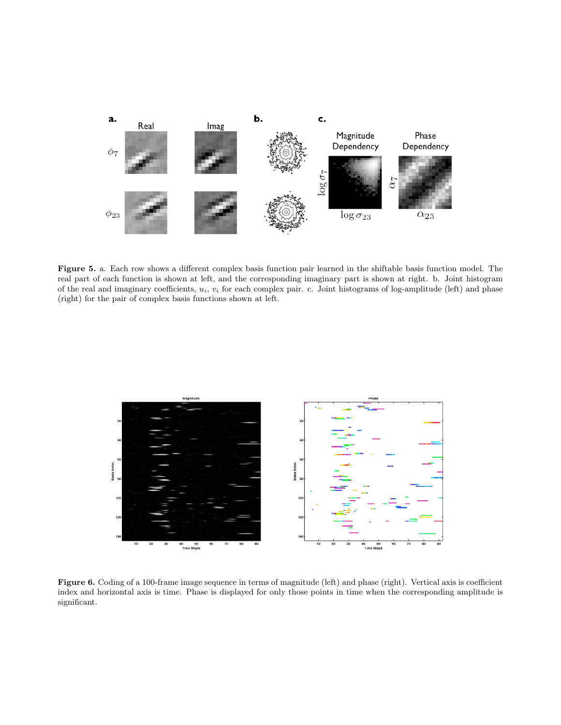

Figure 5. a. Each row shows a different complex basis function pair learned in the shiftable basis function model. The real part of each function is shown at left, and the corresponding imaginary part is shown at right. b. Joint histogram of the real and imaginary coefficients, u*i*, v*<sup>i</sup>* for each complex pair. c. Joint histograms of log-amplitude (left) and phase (right) for the pair of complex basis functions shown at left.



Figure 6. Coding of a 100-frame image sequence in terms of magnitude (left) and phase (right). Vertical axis is coefficient index and horizontal axis is time. Phase is displayed for only those points in time when the corresponding amplitude is significant.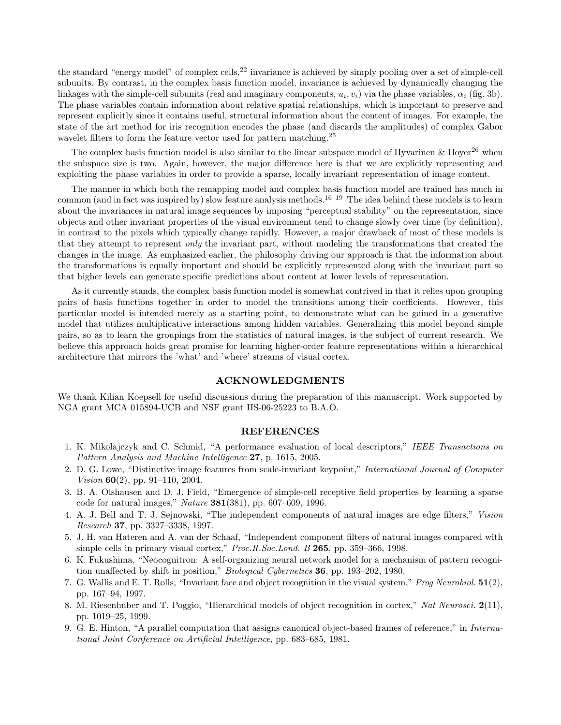the standard "energy model" of complex cells,<sup>22</sup> invariance is achieved by simply pooling over a set of simple-cell subunits. By contrast, in the complex basis function model, invariance is achieved by dynamically changing the linkages with the simple-cell subunits (real and imaginary components,  $u_i, v_i$ ) via the phase variables,  $\alpha_i$  (fig. 3b). The phase variables contain information about relative spatial relationships, which is important to preserve and represent explicitly since it contains useful, structural information about the content of images. For example, the state of the art method for iris recognition encodes the phase (and discards the amplitudes) of complex Gabor wavelet filters to form the feature vector used for pattern matching.<sup>25</sup>

The complex basis function model is also similar to the linear subspace model of Hyvarinen & Hoyer<sup>26</sup> when the subspace size is two. Again, however, the major difference here is that we are explicitly representing and exploiting the phase variables in order to provide a sparse, locally invariant representation of image content.

The manner in which both the remapping model and complex basis function model are trained has much in common (and in fact was inspired by) slow feature analysis methods.<sup>16–19</sup> The idea behind these models is to learn about the invariances in natural image sequences by imposing "perceptual stability" on the representation, since objects and other invariant properties of the visual environment tend to change slowly over time (by definition), in contrast to the pixels which typically change rapidly. However, a major drawback of most of these models is that they attempt to represent *only* the invariant part, without modeling the transformations that created the changes in the image. As emphasized earlier, the philosophy driving our approach is that the information about the transformations is equally important and should be explicitly represented along with the invariant part so that higher levels can generate specific predictions about content at lower levels of representation.

As it currently stands, the complex basis function model is somewhat contrived in that it relies upon grouping pairs of basis functions together in order to model the transitions among their coefficients. However, this particular model is intended merely as a starting point, to demonstrate what can be gained in a generative model that utilizes multiplicative interactions among hidden variables. Generalizing this model beyond simple pairs, so as to learn the groupings from the statistics of natural images, is the subject of current research. We believe this approach holds great promise for learning higher-order feature representations within a hierarchical architecture that mirrors the 'what' and 'where' streams of visual cortex.

#### ACKNOWLEDGMENTS

We thank Kilian Koepsell for useful discussions during the preparation of this manuscript. Work supported by NGA grant MCA 015894-UCB and NSF grant IIS-06-25223 to B.A.O.

### REFERENCES

- 1. K. Mikolajczyk and C. Schmid, "A performance evaluation of local descriptors," *IEEE Transactions on Pattern Analysis and Machine Intelligence* 27, p. 1615, 2005.
- 2. D. G. Lowe, "Distinctive image features from scale-invariant keypoint," *International Journal of Computer Vision* **60**(2), pp. 91–110, 2004.
- 3. B. A. Olshausen and D. J. Field, "Emergence of simple-cell receptive field properties by learning a sparse code for natural images," *Nature* 381(381), pp. 607–609, 1996.
- 4. A. J. Bell and T. J. Sejnowski, "The independent components of natural images are edge filters," *Vision Research* 37, pp. 3327–3338, 1997.
- 5. J. H. van Hateren and A. van der Schaaf, "Independent component filters of natural images compared with simple cells in primary visual cortex," *Proc.R.Soc.Lond. B* 265, pp. 359–366, 1998.
- 6. K. Fukushima, "Neocognitron: A self-organizing neural network model for a mechanism of pattern recognition unaffected by shift in position," *Biological Cybernetics* 36, pp. 193–202, 1980.
- 7. G. Wallis and E. T. Rolls, "Invariant face and object recognition in the visual system," *Prog Neurobiol.* 51(2), pp. 167–94, 1997.
- 8. M. Riesenhuber and T. Poggio, "Hierarchical models of object recognition in cortex," *Nat Neurosci.* 2(11), pp. 1019–25, 1999.
- 9. G. E. Hinton, "A parallel computation that assigns canonical object-based frames of reference," in *International Joint Conference on Artificial Intelligence*, pp. 683–685, 1981.